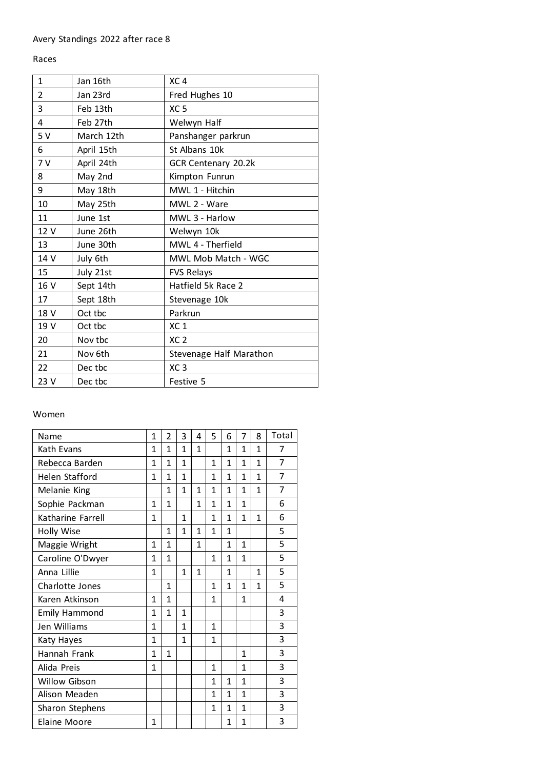## Races

| 1              | Jan 16th   | XC <sub>4</sub>         |
|----------------|------------|-------------------------|
| $\overline{2}$ | Jan 23rd   | Fred Hughes 10          |
| 3              | Feb 13th   | XC <sub>5</sub>         |
| 4              | Feb 27th   | Welwyn Half             |
| 5V             | March 12th | Panshanger parkrun      |
| 6              | April 15th | St Albans 10k           |
| 7V             | April 24th | GCR Centenary 20.2k     |
| 8              | May 2nd    | Kimpton Funrun          |
| 9              | May 18th   | MWL 1 - Hitchin         |
| 10             | May 25th   | MWL 2 - Ware            |
| 11             | June 1st   | MWL 3 - Harlow          |
| 12 V           | June 26th  | Welwyn 10k              |
| 13             | June 30th  | MWL 4 - Therfield       |
| 14 V           | July 6th   | MWL Mob Match - WGC     |
| 15             | July 21st  | <b>FVS Relays</b>       |
| 16 V           | Sept 14th  | Hatfield 5k Race 2      |
| 17             | Sept 18th  | Stevenage 10k           |
| 18 V           | Oct tbc    | Parkrun                 |
| 19 V           | Oct tbc    | XC <sub>1</sub>         |
| 20             | Nov tbc    | XC <sub>2</sub>         |
| 21             | Nov 6th    | Stevenage Half Marathon |
| 22             | Dec tbc    | XC <sub>3</sub>         |
| 23 V           | Dec tbc    | Festive 5               |

## Women

| Name                 | 1            | 2              | 3              | 4            | 5            | 6            | 7            | 8            | Total |
|----------------------|--------------|----------------|----------------|--------------|--------------|--------------|--------------|--------------|-------|
| Kath Evans           | 1            | 1              | 1              | $\mathbf{1}$ |              | $\mathbf{1}$ | $\mathbf{1}$ | $\mathbf{1}$ | 7     |
| Rebecca Barden       | 1            | 1              | 1              |              | 1            | 1            | $\mathbf{1}$ | 1            | 7     |
| Helen Stafford       | 1            | $\mathbf{1}$   | $\mathbf{1}$   |              | $\mathbf{1}$ | $\mathbf{1}$ | $\mathbf{1}$ | $\mathbf{1}$ | 7     |
| Melanie King         |              | $\mathbf{1}$   | $\overline{1}$ | 1            | $\mathbf{1}$ | 1            | $\mathbf{1}$ | 1            | 7     |
| Sophie Packman       | 1            | 1              |                | 1            | 1            | $\mathbf{1}$ | $\mathbf{1}$ |              | 6     |
| Katharine Farrell    | 1            |                | 1              |              | 1            | 1            | $\mathbf{1}$ | 1            | 6     |
| Holly Wise           |              | 1              | $\mathbf{1}$   | 1            | 1            | 1            |              |              | 5     |
| Maggie Wright        | 1            | $\mathbf{1}$   |                | $\mathbf{1}$ |              | 1            | $\mathbf{1}$ |              | 5     |
| Caroline O'Dwyer     | $\mathbf{1}$ | $\overline{1}$ |                |              | $\mathbf{1}$ | 1            | $\mathbf{1}$ |              | 5     |
| Anna Lillie          | 1            |                | 1              | $\mathbf{1}$ |              | 1            |              | $\mathbf{1}$ | 5     |
| Charlotte Jones      |              | 1              |                |              | 1            | $\mathbf{1}$ | $\mathbf{1}$ | $\mathbf{1}$ | 5     |
| Karen Atkinson       | 1            | $\mathbf{1}$   |                |              | $\mathbf{1}$ |              | $\mathbf{1}$ |              | 4     |
| <b>Emily Hammond</b> | 1            | $\mathbf{1}$   | 1              |              |              |              |              |              | 3     |
| Jen Williams         | $\mathbf{1}$ |                | $\mathbf{1}$   |              | $\mathbf{1}$ |              |              |              | 3     |
| Katy Hayes           | 1            |                | $\mathbf{1}$   |              | $\mathbf{1}$ |              |              |              | 3     |
| Hannah Frank         | 1            | 1              |                |              |              |              | $\mathbf{1}$ |              | 3     |
| Alida Preis          | 1            |                |                |              | $\mathbf{1}$ |              | $\mathbf{1}$ |              | 3     |
| Willow Gibson        |              |                |                |              | $\mathbf{1}$ | $\mathbf{1}$ | $\mathbf{1}$ |              | 3     |
| Alison Meaden        |              |                |                |              | $\mathbf{1}$ | $\mathbf{1}$ | $\mathbf{1}$ |              | 3     |
| Sharon Stephens      |              |                |                |              | 1            | 1            | $\mathbf{1}$ |              | 3     |
| Elaine Moore         | 1            |                |                |              |              | 1            | 1            |              | 3     |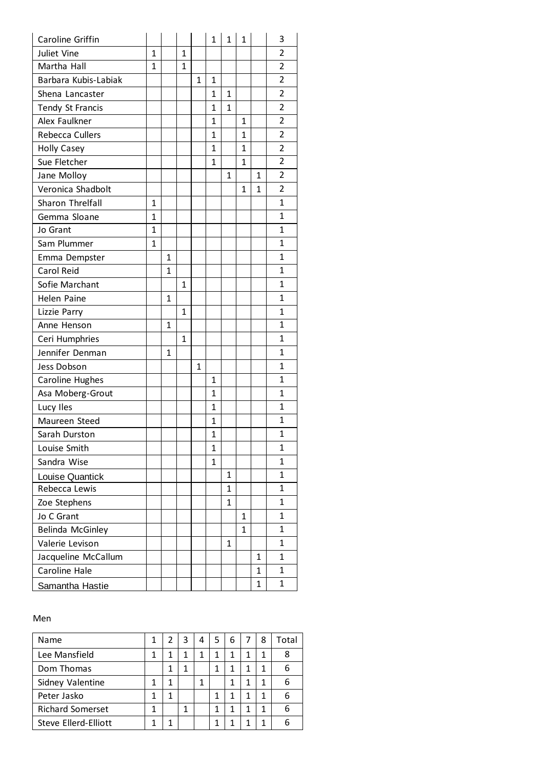| Caroline Griffin     |              |              |              |              | $\mathbf{1}$ | 1            | 1            |              | 3              |
|----------------------|--------------|--------------|--------------|--------------|--------------|--------------|--------------|--------------|----------------|
| Juliet Vine          | $\mathbf{1}$ |              | $\mathbf{1}$ |              |              |              |              |              | $\overline{2}$ |
| Martha Hall          | 1            |              | $\mathbf{1}$ |              |              |              |              |              | $\overline{2}$ |
| Barbara Kubis-Labiak |              |              |              | $\mathbf{1}$ | $\mathbf{1}$ |              |              |              | $\overline{2}$ |
| Shena Lancaster      |              |              |              |              | $\mathbf{1}$ | 1            |              |              | 2              |
| Tendy St Francis     |              |              |              |              | $\mathbf{1}$ | $\mathbf{1}$ |              |              | $\overline{2}$ |
| Alex Faulkner        |              |              |              |              | 1            |              | 1            |              | $\overline{2}$ |
| Rebecca Cullers      |              |              |              |              | $\mathbf{1}$ |              | 1            |              | $\overline{2}$ |
| <b>Holly Casey</b>   |              |              |              |              | 1            |              | 1            |              | $\overline{2}$ |
| Sue Fletcher         |              |              |              |              | 1            |              | 1            |              | $\overline{2}$ |
| Jane Molloy          |              |              |              |              |              | 1            |              | 1            | 2              |
| Veronica Shadbolt    |              |              |              |              |              |              | 1            | 1            | $\overline{2}$ |
| Sharon Threlfall     | 1            |              |              |              |              |              |              |              | 1              |
| Gemma Sloane         | $\mathbf{1}$ |              |              |              |              |              |              |              | $\mathbf{1}$   |
| Jo Grant             | $\mathbf{1}$ |              |              |              |              |              |              |              | 1              |
| Sam Plummer          | $\mathbf{1}$ |              |              |              |              |              |              |              | $\mathbf{1}$   |
| Emma Dempster        |              | 1            |              |              |              |              |              |              | $\mathbf{1}$   |
| Carol Reid           |              | 1            |              |              |              |              |              |              | $\mathbf{1}$   |
| Sofie Marchant       |              |              | $\mathbf{1}$ |              |              |              |              |              | $\mathbf{1}$   |
| <b>Helen Paine</b>   |              | 1            |              |              |              |              |              |              | $\mathbf{1}$   |
| Lizzie Parry         |              |              | $\mathbf{1}$ |              |              |              |              |              | $\mathbf{1}$   |
| Anne Henson          |              | $\mathbf{1}$ |              |              |              |              |              |              | $\mathbf{1}$   |
| Ceri Humphries       |              |              | $\mathbf{1}$ |              |              |              |              |              | 1              |
| Jennifer Denman      |              | 1            |              |              |              |              |              |              | 1              |
| Jess Dobson          |              |              |              | $\mathbf{1}$ |              |              |              |              | 1              |
| Caroline Hughes      |              |              |              |              | $\mathbf{1}$ |              |              |              | 1              |
| Asa Moberg-Grout     |              |              |              |              | 1            |              |              |              | 1              |
| Lucy Iles            |              |              |              |              | $\mathbf{1}$ |              |              |              | $\mathbf{1}$   |
| Maureen Steed        |              |              |              |              | 1            |              |              |              | 1              |
| Sarah Durston        |              |              |              |              | $\mathbf{1}$ |              |              |              | 1              |
| Louise Smith         |              |              |              |              | $\mathbf{1}$ |              |              |              | 1              |
| Sandra Wise          |              |              |              |              | 1            |              |              |              | 1              |
| Louise Quantick      |              |              |              |              |              | 1            |              |              | 1              |
| Rebecca Lewis        |              |              |              |              |              | 1            |              |              | $\mathbf{1}$   |
| Zoe Stephens         |              |              |              |              |              | $\mathbf{1}$ |              |              | $\mathbf{1}$   |
| Jo C Grant           |              |              |              |              |              |              | 1            |              | 1              |
| Belinda McGinley     |              |              |              |              |              |              | $\mathbf{1}$ |              | $\mathbf{1}$   |
| Valerie Levison      |              |              |              |              |              | 1            |              |              | $\mathbf{1}$   |
| Jacqueline McCallum  |              |              |              |              |              |              |              | $\mathbf{1}$ | $\mathbf{1}$   |
| Caroline Hale        |              |              |              |              |              |              |              | 1            | 1              |
| Samantha Hastie      |              |              |              |              |              |              |              | $\mathbf{1}$ | 1              |

## Men

| Name                    |   | 3 | 4 | 5 | 6 | 8 | Total |
|-------------------------|---|---|---|---|---|---|-------|
| Lee Mansfield           |   |   |   |   |   | 1 | 8     |
| Dom Thomas              | 1 |   |   |   |   | 1 | 6     |
| Sidney Valentine        | 1 |   | 1 |   |   | 1 |       |
| Peter Jasko             |   |   |   |   |   | 1 |       |
| <b>Richard Somerset</b> |   |   |   |   |   | 1 |       |
| Steve Ellerd-Elliott    |   |   |   |   |   | 1 |       |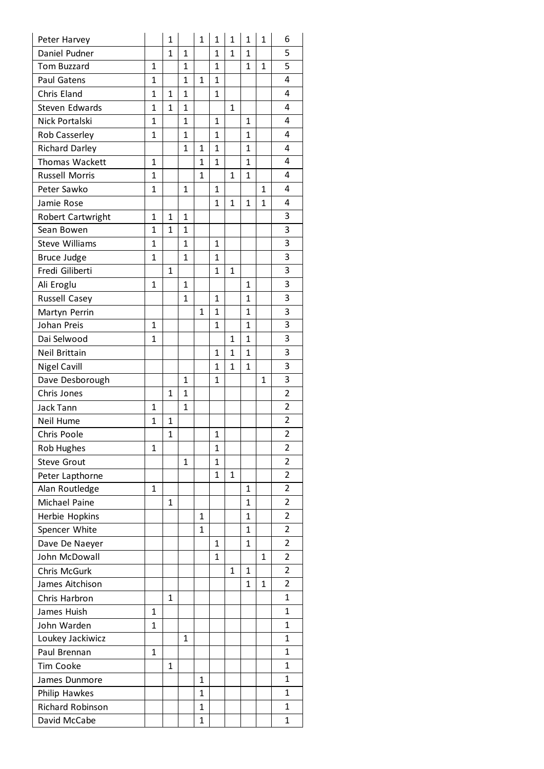| Peter Harvey          |              | 1            |              | $\mathbf{1}$ | 1            | 1            | 1            | $\overline{1}$ | 6              |
|-----------------------|--------------|--------------|--------------|--------------|--------------|--------------|--------------|----------------|----------------|
| Daniel Pudner         |              | $\mathbf{1}$ | $\mathbf{1}$ |              | 1            | 1            | 1            |                | 5              |
| <b>Tom Buzzard</b>    | $\mathbf{1}$ |              | 1            |              | $\mathbf{1}$ |              | $\mathbf{1}$ | 1              | 5              |
| Paul Gatens           | $\mathbf{1}$ |              | $\mathbf{1}$ | $\mathbf{1}$ | $\mathbf{1}$ |              |              |                | 4              |
| Chris Eland           | $\mathbf{1}$ | 1            | 1            |              | $\mathbf{1}$ |              |              |                | 4              |
| Steven Edwards        | $\mathbf{1}$ | $\mathbf{1}$ | $\mathbf{1}$ |              |              | $\mathbf{1}$ |              |                | 4              |
| Nick Portalski        | $\mathbf{1}$ |              | 1            |              | 1            |              | $\mathbf{1}$ |                | 4              |
| Rob Casserley         | $\mathbf{1}$ |              | $\mathbf 1$  |              | $\mathbf{1}$ |              | $\mathbf{1}$ |                | 4              |
| <b>Richard Darley</b> |              |              | 1            | 1            | $\mathbf{1}$ |              | 1            |                | 4              |
| Thomas Wackett        | $\mathbf{1}$ |              |              | $\mathbf{1}$ | $\mathbf{1}$ |              | $\mathbf{1}$ |                | 4              |
| <b>Russell Morris</b> | $\mathbf{1}$ |              |              | 1            |              | 1            | 1            |                | 4              |
| Peter Sawko           | $\mathbf{1}$ |              | 1            |              | 1            |              |              | $\mathbf{1}$   | 4              |
| Jamie Rose            |              |              |              |              | $\mathbf{1}$ | 1            | 1            | 1              | 4              |
| Robert Cartwright     | $\mathbf{1}$ | $\mathbf{1}$ | 1            |              |              |              |              |                | 3              |
| Sean Bowen            | $\mathbf{1}$ | 1            | 1            |              |              |              |              |                | 3              |
| <b>Steve Williams</b> | $\mathbf{1}$ |              | 1            |              | $\mathbf{1}$ |              |              |                | $\overline{3}$ |
| <b>Bruce Judge</b>    | $\mathbf{1}$ |              | 1            |              | $\mathbf{1}$ |              |              |                | 3              |
| Fredi Giliberti       |              | $\mathbf{1}$ |              |              | $\mathbf{1}$ | $\mathbf{1}$ |              |                | 3              |
| Ali Eroglu            | $\mathbf{1}$ |              | 1            |              |              |              | $\mathbf{1}$ |                | 3              |
| Russell Casey         |              |              | $\mathbf{1}$ |              | $\mathbf{1}$ |              | $\mathbf{1}$ |                | 3              |
| Martyn Perrin         |              |              |              | $\mathbf{1}$ | $\mathbf{1}$ |              | $\mathbf{1}$ |                | 3              |
| Johan Preis           | $\mathbf{1}$ |              |              |              | $\mathbf{1}$ |              | $\mathbf{1}$ |                | 3              |
| Dai Selwood           | $\mathbf{1}$ |              |              |              |              | $\mathbf{1}$ | $\mathbf{1}$ |                | 3              |
| Neil Brittain         |              |              |              |              | $\mathbf{1}$ | 1            | $\mathbf 1$  |                | 3              |
| <b>Nigel Cavill</b>   |              |              |              |              | $\mathbf{1}$ | $\mathbf{1}$ | 1            |                | 3              |
| Dave Desborough       |              |              | 1            |              | $\mathbf{1}$ |              |              | 1              | 3              |
| Chris Jones           |              | 1            | 1            |              |              |              |              |                | $\overline{2}$ |
| Jack Tann             | $\mathbf{1}$ |              | 1            |              |              |              |              |                | $\overline{2}$ |
| Neil Hume             | $\mathbf{1}$ | $\mathbf{1}$ |              |              |              |              |              |                | $\overline{2}$ |
| Chris Poole           |              | $\mathbf{1}$ |              |              | $\mathbf{1}$ |              |              |                | $\overline{c}$ |
| Rob Hughes            | $\mathbf{1}$ |              |              |              | 1            |              |              |                | 2              |
| <b>Steve Grout</b>    |              |              | 1            |              | 1            |              |              |                | 2              |
| Peter Lapthorne       |              |              |              |              | 1            | 1            |              |                | $\overline{2}$ |
| Alan Routledge        | 1            |              |              |              |              |              | 1            |                | 2              |
| Michael Paine         |              | 1            |              |              |              |              | $\mathbf{1}$ |                | 2              |
| Herbie Hopkins        |              |              |              | 1            |              |              | 1            |                | $\overline{2}$ |
| Spencer White         |              |              |              | $\mathbf{1}$ |              |              | $\mathbf{1}$ |                | $\overline{2}$ |
| Dave De Naeyer        |              |              |              |              | 1            |              | 1            |                | 2              |
| John McDowall         |              |              |              |              | $\mathbf{1}$ |              |              | $\mathbf{1}$   | 2              |
| Chris McGurk          |              |              |              |              |              | 1            | 1            |                | 2              |
| James Aitchison       |              |              |              |              |              |              | $\mathbf{1}$ | 1              | $\overline{2}$ |
| Chris Harbron         |              | 1            |              |              |              |              |              |                | 1              |
| James Huish           | $\mathbf{1}$ |              |              |              |              |              |              |                | 1              |
| John Warden           | $\mathbf{1}$ |              |              |              |              |              |              |                | 1              |
| Loukey Jackiwicz      |              |              | 1            |              |              |              |              |                | 1              |
| Paul Brennan          | $\mathbf{1}$ |              |              |              |              |              |              |                | 1              |
| <b>Tim Cooke</b>      |              | 1            |              |              |              |              |              |                | 1              |
| James Dunmore         |              |              |              | 1            |              |              |              |                | 1              |
| Philip Hawkes         |              |              |              | 1            |              |              |              |                | 1              |
| Richard Robinson      |              |              |              | $\mathbf{1}$ |              |              |              |                | 1              |
| David McCabe          |              |              |              | 1            |              |              |              |                | 1              |